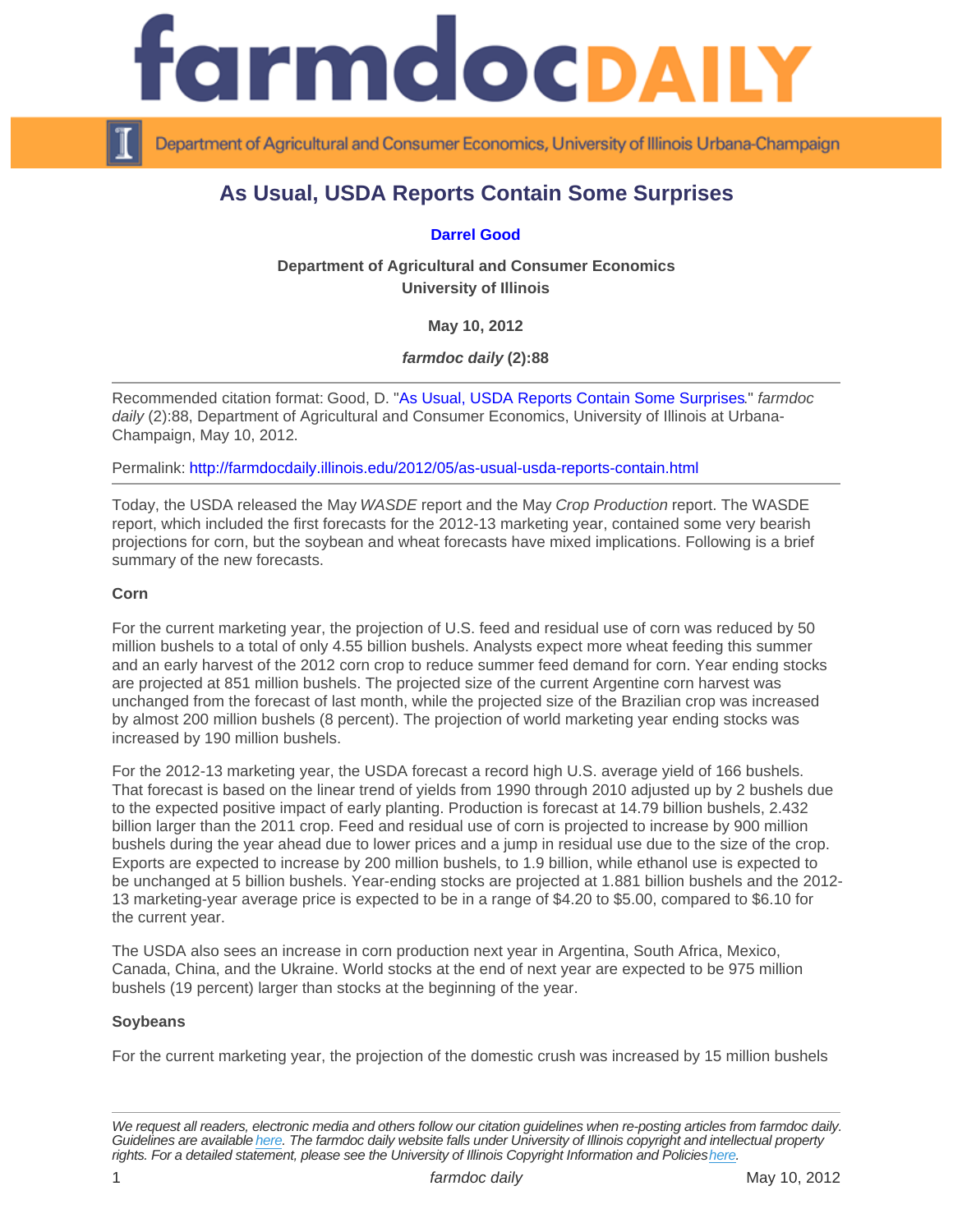# As Usual, USDA Reports Contain Some Surprises

# [Darrel Good](http://farmdoc.illinois.edu/good/)

Department of Agricultural and Consumer Economics University of Illinois

May 10, 2012

farmdoc daily (2):88

Recommended citation format: Good, D. "[As Usual, USDA Reports Contain Some Surprises.](http://farmdocdaily.illinois.edu/2012/05/as-usual-usda-reports-contain.html)" farmdoc daily (2):88, Department of Agricultural and Consumer Economics, University of Illinois at Urbana-Champaign, May 10, 2012.

Permalink:<http://farmdocdaily.illinois.edu/2012/05/as-usual-usda-reports-contain.html>

Today, the USDA released the May WASDE report and the May Crop Production report. The WASDE report, which included the first forecasts for the 2012-13 marketing year, contained some very bearish projections for corn, but the soybean and wheat forecasts have mixed implications. Following is a brief summary of the new forecasts.

### Corn

For the current marketing year, the projection of U.S. feed and residual use of corn was reduced by 50 million bushels to a total of only 4.55 billion bushels. Analysts expect more wheat feeding this summer and an early harvest of the 2012 corn crop to reduce summer feed demand for corn. Year ending stocks are projected at 851 million bushels. The projected size of the current Argentine corn harvest was unchanged from the forecast of last month, while the projected size of the Brazilian crop was increased by almost 200 million bushels (8 percent). The projection of world marketing year ending stocks was increased by 190 million bushels.

For the 2012-13 marketing year, the USDA forecast a record high U.S. average yield of 166 bushels. That forecast is based on the linear trend of yields from 1990 through 2010 adjusted up by 2 bushels due to the expected positive impact of early planting. Production is forecast at 14.79 billion bushels, 2.432 billion larger than the 2011 crop. Feed and residual use of corn is projected to increase by 900 million bushels during the year ahead due to lower prices and a jump in residual use due to the size of the crop. Exports are expected to increase by 200 million bushels, to 1.9 billion, while ethanol use is expected to be unchanged at 5 billion bushels. Year-ending stocks are projected at 1.881 billion bushels and the 2012- 13 marketing-year average price is expected to be in a range of \$4.20 to \$5.00, compared to \$6.10 for the current year.

The USDA also sees an increase in corn production next year in Argentina, South Africa, Mexico, Canada, China, and the Ukraine. World stocks at the end of next year are expected to be 975 million bushels (19 percent) larger than stocks at the beginning of the year.

### Soybeans

For the current marketing year, the projection of the domestic crush was increased by 15 million bushels

We request all readers, electronic media and others follow our citation guidelines when re-posting articles from farmdoc daily. Guidelines are available [here](http://farmdocdaily.illinois.edu/citationguide.html). The farmdoc daily website falls under University of Illinois copyright and intellectual property rights. For a detailed statement, please see the University of Illinois Copyright Information and Policies [here.](https://techservices.illinois.edu/office-cio)